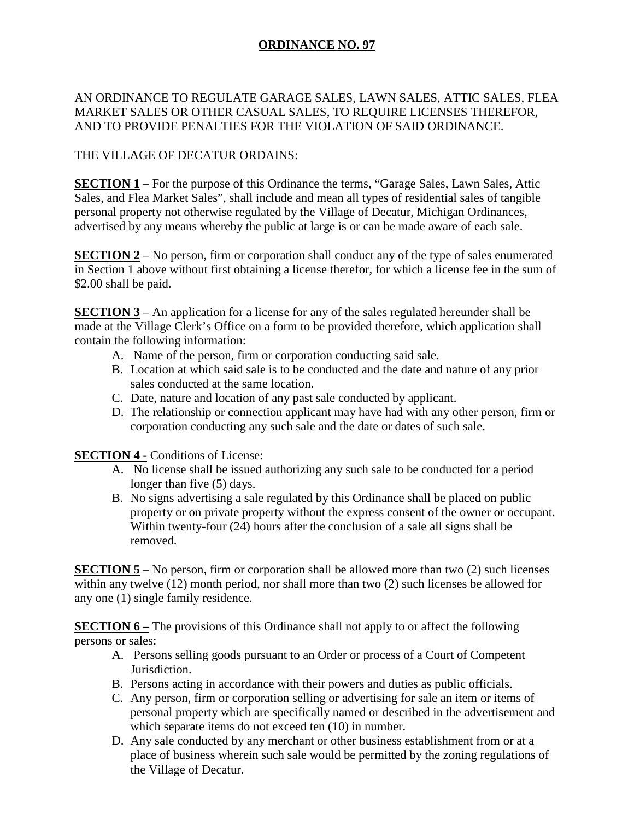# **ORDINANCE NO. 97**

# AN ORDINANCE TO REGULATE GARAGE SALES, LAWN SALES, ATTIC SALES, FLEA MARKET SALES OR OTHER CASUAL SALES, TO REQUIRE LICENSES THEREFOR, AND TO PROVIDE PENALTIES FOR THE VIOLATION OF SAID ORDINANCE.

### THE VILLAGE OF DECATUR ORDAINS:

**SECTION 1** – For the purpose of this Ordinance the terms, "Garage Sales, Lawn Sales, Attic Sales, and Flea Market Sales", shall include and mean all types of residential sales of tangible personal property not otherwise regulated by the Village of Decatur, Michigan Ordinances, advertised by any means whereby the public at large is or can be made aware of each sale.

**SECTION 2** – No person, firm or corporation shall conduct any of the type of sales enumerated in Section 1 above without first obtaining a license therefor, for which a license fee in the sum of \$2.00 shall be paid.

**SECTION 3** – An application for a license for any of the sales regulated hereunder shall be made at the Village Clerk's Office on a form to be provided therefore, which application shall contain the following information:

- A. Name of the person, firm or corporation conducting said sale.
- B. Location at which said sale is to be conducted and the date and nature of any prior sales conducted at the same location.
- C. Date, nature and location of any past sale conducted by applicant.
- D. The relationship or connection applicant may have had with any other person, firm or corporation conducting any such sale and the date or dates of such sale.

### **SECTION 4 - Conditions of License:**

- A. No license shall be issued authorizing any such sale to be conducted for a period longer than five (5) days.
- B. No signs advertising a sale regulated by this Ordinance shall be placed on public property or on private property without the express consent of the owner or occupant. Within twenty-four (24) hours after the conclusion of a sale all signs shall be removed.

**SECTION 5** – No person, firm or corporation shall be allowed more than two (2) such licenses within any twelve (12) month period, nor shall more than two (2) such licenses be allowed for any one (1) single family residence.

**SECTION 6** – The provisions of this Ordinance shall not apply to or affect the following persons or sales:

- A. Persons selling goods pursuant to an Order or process of a Court of Competent Jurisdiction.
- B. Persons acting in accordance with their powers and duties as public officials.
- C. Any person, firm or corporation selling or advertising for sale an item or items of personal property which are specifically named or described in the advertisement and which separate items do not exceed ten  $(10)$  in number.
- D. Any sale conducted by any merchant or other business establishment from or at a place of business wherein such sale would be permitted by the zoning regulations of the Village of Decatur.